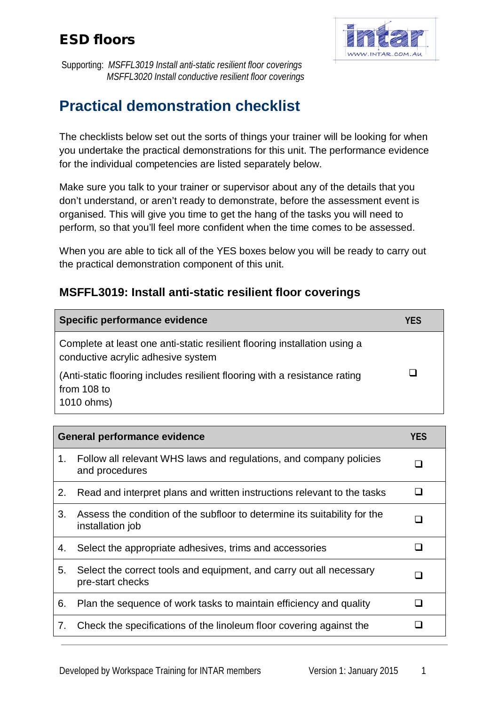

Supporting: *MSFFL3019 Install anti-static resilient floor coverings MSFFL3020 Install conductive resilient floor coverings*

# **Practical demonstration checklist**

The checklists below set out the sorts of things your trainer will be looking for when you undertake the practical demonstrations for this unit. The performance evidence for the individual competencies are listed separately below.

Make sure you talk to your trainer or supervisor about any of the details that you don't understand, or aren't ready to demonstrate, before the assessment event is organised. This will give you time to get the hang of the tasks you will need to perform, so that you'll feel more confident when the time comes to be assessed.

When you are able to tick all of the YES boxes below you will be ready to carry out the practical demonstration component of this unit.

#### **MSFFL3019: Install anti-static resilient floor coverings**

| Specific performance evidence                                                                                   | YES |
|-----------------------------------------------------------------------------------------------------------------|-----|
| Complete at least one anti-static resilient flooring installation using a<br>conductive acrylic adhesive system |     |
| (Anti-static flooring includes resilient flooring with a resistance rating<br>from 108 to<br>1010 ohms)         |     |

| <b>General performance evidence</b> |                                                                                               | <b>YES</b> |
|-------------------------------------|-----------------------------------------------------------------------------------------------|------------|
| 1 <sub>1</sub>                      | Follow all relevant WHS laws and regulations, and company policies<br>and procedures          |            |
| 2.                                  | Read and interpret plans and written instructions relevant to the tasks                       |            |
| 3.                                  | Assess the condition of the subfloor to determine its suitability for the<br>installation job |            |
| 4.                                  | Select the appropriate adhesives, trims and accessories                                       |            |
| 5.                                  | Select the correct tools and equipment, and carry out all necessary<br>pre-start checks       |            |
| 6.                                  | Plan the sequence of work tasks to maintain efficiency and quality                            |            |
| 7.                                  | Check the specifications of the linoleum floor covering against the                           |            |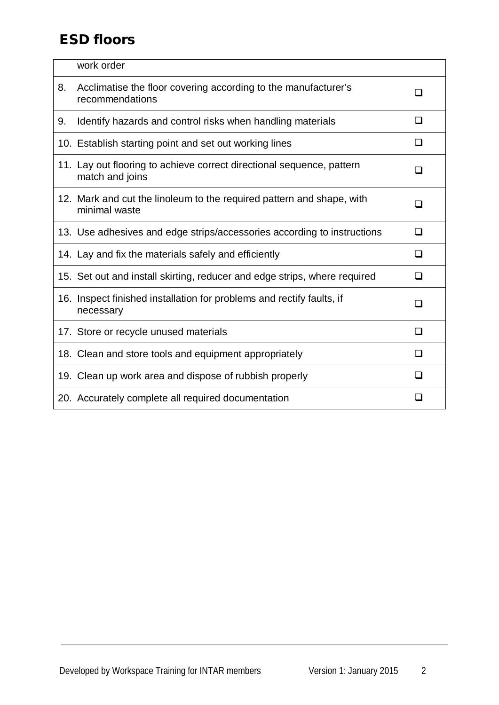|    | work order                                                                               |                          |
|----|------------------------------------------------------------------------------------------|--------------------------|
| 8. | Acclimatise the floor covering according to the manufacturer's<br>recommendations        | l 1                      |
| 9. | Identify hazards and control risks when handling materials                               | ◻                        |
|    | 10. Establish starting point and set out working lines                                   | $\Box$                   |
|    | 11. Lay out flooring to achieve correct directional sequence, pattern<br>match and joins | $\overline{\phantom{a}}$ |
|    | 12. Mark and cut the linoleum to the required pattern and shape, with<br>minimal waste   | $\overline{\phantom{a}}$ |
|    | 13. Use adhesives and edge strips/accessories according to instructions                  | ❏                        |
|    | 14. Lay and fix the materials safely and efficiently                                     | $\Box$                   |
|    | 15. Set out and install skirting, reducer and edge strips, where required                | ◻                        |
|    | 16. Inspect finished installation for problems and rectify faults, if<br>necessary       | □                        |
|    | 17. Store or recycle unused materials                                                    | □                        |
|    | 18. Clean and store tools and equipment appropriately                                    | ப                        |
|    | 19. Clean up work area and dispose of rubbish properly                                   | $\Box$                   |
|    | 20. Accurately complete all required documentation                                       | H                        |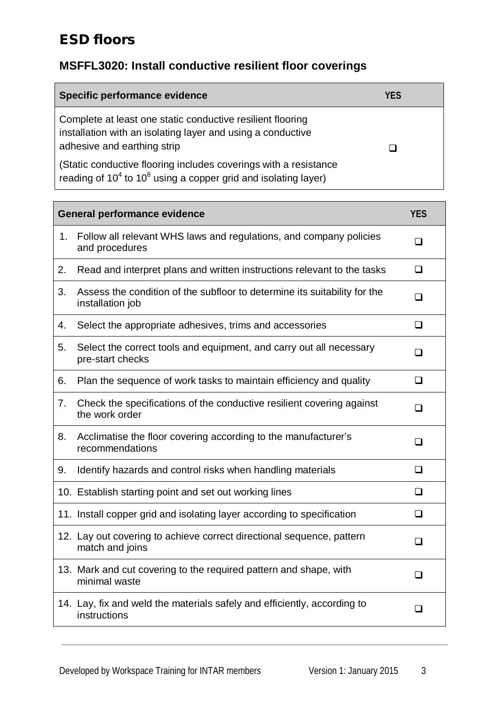#### **MSFFL3020: Install conductive resilient floor coverings**

| Specific performance evidence                                                                                                                            | YFS |
|----------------------------------------------------------------------------------------------------------------------------------------------------------|-----|
| Complete at least one static conductive resilient flooring<br>installation with an isolating layer and using a conductive<br>adhesive and earthing strip |     |
| (Static conductive flooring includes coverings with a resistance<br>reading of $10^4$ to $10^8$ using a copper grid and isolating layer)                 |     |

| <b>General performance evidence</b> |                                                                                               | <b>YES</b> |
|-------------------------------------|-----------------------------------------------------------------------------------------------|------------|
| 1.                                  | Follow all relevant WHS laws and regulations, and company policies<br>and procedures          | ப          |
| 2.                                  | Read and interpret plans and written instructions relevant to the tasks                       | $\Box$     |
| 3.                                  | Assess the condition of the subfloor to determine its suitability for the<br>installation job | $\Box$     |
| 4.                                  | Select the appropriate adhesives, trims and accessories                                       | $\Box$     |
| 5.                                  | Select the correct tools and equipment, and carry out all necessary<br>pre-start checks       | $\Box$     |
| 6.                                  | Plan the sequence of work tasks to maintain efficiency and quality                            | $\Box$     |
| 7.                                  | Check the specifications of the conductive resilient covering against<br>the work order       | ❏          |
| 8.                                  | Acclimatise the floor covering according to the manufacturer's<br>recommendations             | □          |
| 9.                                  | Identify hazards and control risks when handling materials                                    | □          |
|                                     | 10. Establish starting point and set out working lines                                        | ❏          |
|                                     | 11. Install copper grid and isolating layer according to specification                        | ◻          |
|                                     | 12. Lay out covering to achieve correct directional sequence, pattern<br>match and joins      | П          |
|                                     | 13. Mark and cut covering to the required pattern and shape, with<br>minimal waste            | ⊓          |
|                                     | 14. Lay, fix and weld the materials safely and efficiently, according to<br>instructions      | $\Box$     |